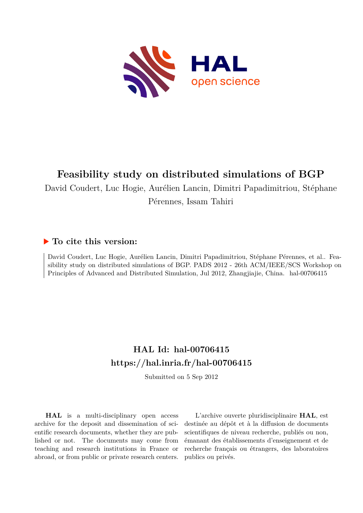

## **Feasibility study on distributed simulations of BGP**

David Coudert, Luc Hogie, Aurélien Lancin, Dimitri Papadimitriou, Stéphane Pérennes, Issam Tahiri

### **To cite this version:**

David Coudert, Luc Hogie, Aurélien Lancin, Dimitri Papadimitriou, Stéphane Pérennes, et al.. Feasibility study on distributed simulations of BGP. PADS 2012 - 26th ACM/IEEE/SCS Workshop on Principles of Advanced and Distributed Simulation, Jul 2012, Zhangjiajie, China. hal-00706415

### **HAL Id: hal-00706415 <https://hal.inria.fr/hal-00706415>**

Submitted on 5 Sep 2012

**HAL** is a multi-disciplinary open access archive for the deposit and dissemination of scientific research documents, whether they are published or not. The documents may come from teaching and research institutions in France or abroad, or from public or private research centers.

L'archive ouverte pluridisciplinaire **HAL**, est destinée au dépôt et à la diffusion de documents scientifiques de niveau recherche, publiés ou non, émanant des établissements d'enseignement et de recherche français ou étrangers, des laboratoires publics ou privés.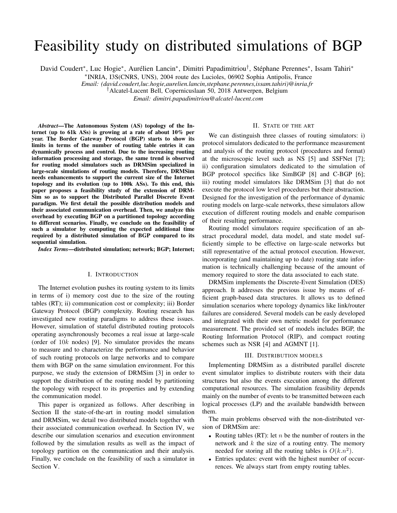# Feasibility study on distributed simulations of BGP

David Coudert\*, Luc Hogie\*, Aurélien Lancin\*, Dimitri Papadimitriou<sup>†</sup>, Stéphane Perennes\*, Issam Tahiri\*

∗ INRIA, I3S(CNRS, UNS), 2004 route des Lucioles, 06902 Sophia Antipolis, France

*Email: (david.coudert,luc.hogie,aurelien.lancin,stephane.perennes,issam.tahiri)@inria.fr*

†Alcatel-Lucent Bell, Copernicuslaan 50, 2018 Antwerpen, Belgium

*Email: dimitri.papadimitriou@alcatel-lucent.com*

*Abstract*—The Autonomous System (AS) topology of the Internet (up to 61k ASs) is growing at a rate of about 10% per year. The Border Gateway Protocol (BGP) starts to show its limits in terms of the number of routing table entries it can dynamically process and control. Due to the increasing routing information processing and storage, the same trend is observed for routing model simulators such as DRMSim specialized in large-scale simulations of routing models. Therefore, DRMSim needs enhancements to support the current size of the Internet topology and its evolution (up to 100k ASs). To this end, this paper proposes a feasibility study of the extension of DRM-Sim so as to support the Distributed Parallel Discrete Event paradigm. We first detail the possible distribution models and their associated communication overhead. Then, we analyze this overhead by executing BGP on a partitioned topology according to different scenarios. Finally, we conclude on the feasibility of such a simulator by computing the expected additional time required by a distributed simulation of BGP compared to its sequential simulation.

*Index Terms*—distributed simulation; network; BGP; Internet;

#### I. INTRODUCTION

The Internet evolution pushes its routing system to its limits in terms of i) memory cost due to the size of the routing tables (RT); ii) communication cost or complexity; iii) Border Gateway Protocol (BGP) complexity. Routing research has investigated new routing paradigms to address these issues. However, simulation of stateful distributed routing protocols operating asynchronously becomes a real issue at large-scale (order of  $10k$  nodes) [9]. No simulator provides the means to measure and to characterize the performance and behavior of such routing protocols on large networks and to compare them with BGP on the same simulation environment. For this purpose, we study the extension of DRMSim [3] in order to support the distribution of the routing model by partitioning the topology with respect to its properties and by extending the communication model.

This paper is organized as follows. After describing in Section II the state-of-the-art in routing model simulation and DRMSim, we detail two distributed models together with their associated communication overhead. In Section IV, we describe our simulation scenarios and execution environment followed by the simulation results as well as the impact of topology partition on the communication and their analysis. Finally, we conclude on the feasibility of such a simulator in Section V.

#### II. STATE OF THE ART

We can distinguish three classes of routing simulators: i) protocol simulators dedicated to the performance measurement and analysis of the routing protocol (procedures and format) at the microscopic level such as NS [5] and SSFNet [7]; ii) configuration simulators dedicated to the simulation of BGP protocol specifics like SimBGP [8] and C-BGP [6]; iii) routing model simulators like DRMSim [3] that do not execute the protocol low level procedures but their abstraction. Designed for the investigation of the performance of dynamic routing models on large-scale networks, these simulators allow execution of different routing models and enable comparison of their resulting performance.

Routing model simulators require specification of an abstract procedural model, data model, and state model sufficiently simple to be effective on large-scale networks but still representative of the actual protocol execution. However, incorporating (and maintaining up to date) routing state information is technically challenging because of the amount of memory required to store the data associated to each state.

DRMSim implements the Discrete-Event Simulation (DES) approach. It addresses the previous issue by means of efficient graph-based data structures. It allows us to defined simulation scenarios where topology dynamics like link/router failures are considered. Several models can be easly developed and integrated with their own metric model for performance measurement. The provided set of models includes BGP, the Routing Information Protocol (RIP), and compact routing schemes such as NSR [4] and AGMNT [1].

#### III. DISTRIBUTION MODELS

Implementing DRMSim as a distributed parallel discrete event simulator implies to distribute routers with their data structures but also the events execution among the different computational resources. The simulation feasibility depends mainly on the number of events to be transmitted between each logical processes (LP) and the available bandwidth between them.

The main problems observed with the non-distributed version of DRMSim are:

- Routing tables  $(RT)$ : let *n* be the number of routers in the network and  $k$  the size of a routing entry. The memory needed for storing all the routing tables is  $O(k.n^2)$ .
- Entries updates: event with the highest number of occurrences. We always start from empty routing tables.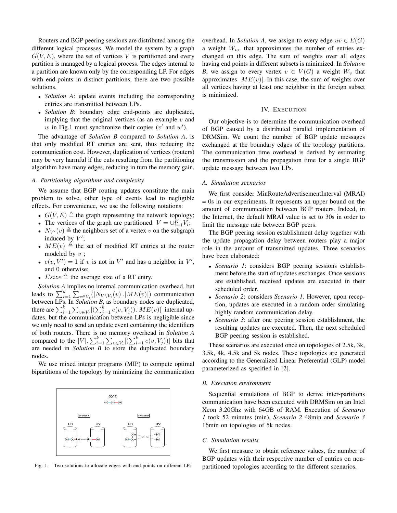Routers and BGP peering sessions are distributed among the different logical processes. We model the system by a graph  $G(V, E)$ , where the set of vertices V is partitioned and every partition is managed by a logical process. The edges internal to a partition are known only by the corresponding LP. For edges with end-points in distinct partitions, there are two possible solutions.

- *Solution A*: update events including the corresponding entries are transmitted between LPs.
- *Solution B*: boundary edge end-points are duplicated, implying that the original vertices (as an example  $v$  and w in Fig.1 must synchronize their copies ( $v'$  and  $w'$ ).

The advantage of *Solution B* compared to *Solution A*, is that only modified RT entries are sent, thus reducing the communication cost. However, duplication of vertices (routers) may be very harmful if the cuts resulting from the partitioning algorithm have many edges, reducing in turn the memory gain.

#### *A. Partitioning algorithms and complexity*

We assume that BGP routing updates constitute the main problem to solve, other type of events lead to negligible effects. For convenience, we use the following notations:

- $G(V, E) \triangleq$  the graph representing the network topology;
- The vertices of the graph are partitioned:  $V = \bigcup_{i=1}^{K} V_i$ ;
- $N_{V'}(v) \triangleq$  the neighbors set of a vertex v on the subgraph induced by  $V'$ ;
- $ME(v) \triangleq$  the set of modified RT entries at the router modeled by  $v$ ;
- $e(v, V') = 1$  if v is not in V' and has a neighbor in V', and 0 otherwise;
- $E size \triangleq$  the average size of a RT entry.

*Solution A* implies no internal communication overhead, but leads to  $\sum_{i=1}^{k} \sum_{v \in V_i} (|N_{V \setminus V_i}(v)|.|ME(v)|)$  communication between LPs. In *Solution B*, as boundary nodes are duplicated, there are  $\sum_{i=1}^k\sum_{v\in V_i}[(\sum_{j=1}^ke(v,V_j))$ . $|ME(v)|]$  internal updates, but the communication between LPs is negligible since we only need to send an update event containing the identifiers of both routers. There is no memory overhead in *Solution A* compared to the  $|V|$ .  $\sum_{i=1}^{k} \sum_{v \in V_i} [(\sum_{i=1}^{k} e(v, V_j))]$  bits that are needed in *Solution B* to store the duplicated boundary nodes.

We use mixed integer programs (MIP) to compute optimal bipartitions of the topology by minimizing the communication



Fig. 1. Two solutions to allocate edges with end-points on different LPs

overhead. In *Solution A*, we assign to every edge  $uv \in E(G)$ a weight  $W_{uv}$  that approximates the number of entries exchanged on this edge. The sum of weights over all edges having end points in different subsets is minimized. In *Solution B*, we assign to every vertex  $v \in V(G)$  a weight  $W_v$  that approximates  $|ME(v)|$ . In this case, the sum of weights over all vertices having at least one neighbor in the foreign subset is minimized.

#### IV. EXECUTION

Our objective is to determine the communication overhead of BGP caused by a distributed parallel implementation of DRMSim. We count the number of BGP update messages exchanged at the boundary edges of the topology partitions. The communication time overhead is derived by estimating the transmission and the propagation time for a single BGP update message between two LPs.

#### *A. Simulation scenarios*

We first consider MinRouteAdvertisementInterval (MRAI) = 0s in our experiments. It represents an upper bound on the amount of communication between BGP routers. Indeed, in the Internet, the default MRAI value is set to 30s in order to limit the message rate between BGP peers.

The BGP peering session establishment delay together with the update propagation delay between routers play a major role in the amount of transmitted updates. Three scenarios have been elaborated:

- *Scenario 1*: considers BGP peering sessions establishment before the start of updates exchanges. Once sessions are established, received updates are executed in their scheduled order.
- *Scenario 2*: considers *Scenario 1*. However, upon reception, updates are executed in a random order simulating highly random communication delay.
- *Scenario 3*: after one peering session establishment, the resulting updates are executed. Then, the next scheduled BGP peering session is established.

These scenarios are executed once on topologies of 2.5k, 3k, 3.5k, 4k, 4.5k and 5k nodes. These topologies are generated according to the Generalized Linear Preferential (GLP) model parameterized as specified in [2].

#### *B. Execution environment*

Sequential simulations of BGP to derive inter-partitions communication have been executed with DRMSim on an Intel Xeon 3.20Ghz with 64GB of RAM. Execution of *Scenario 1* took 52 minutes (min), *Scenario 2* 48min and *Scenario 3* 16min on topologies of 5k nodes.

#### *C. Simulation results*

We first measure to obtain reference values, the number of BGP updates with their respective number of entries on nonpartitioned topologies according to the different scenarios.